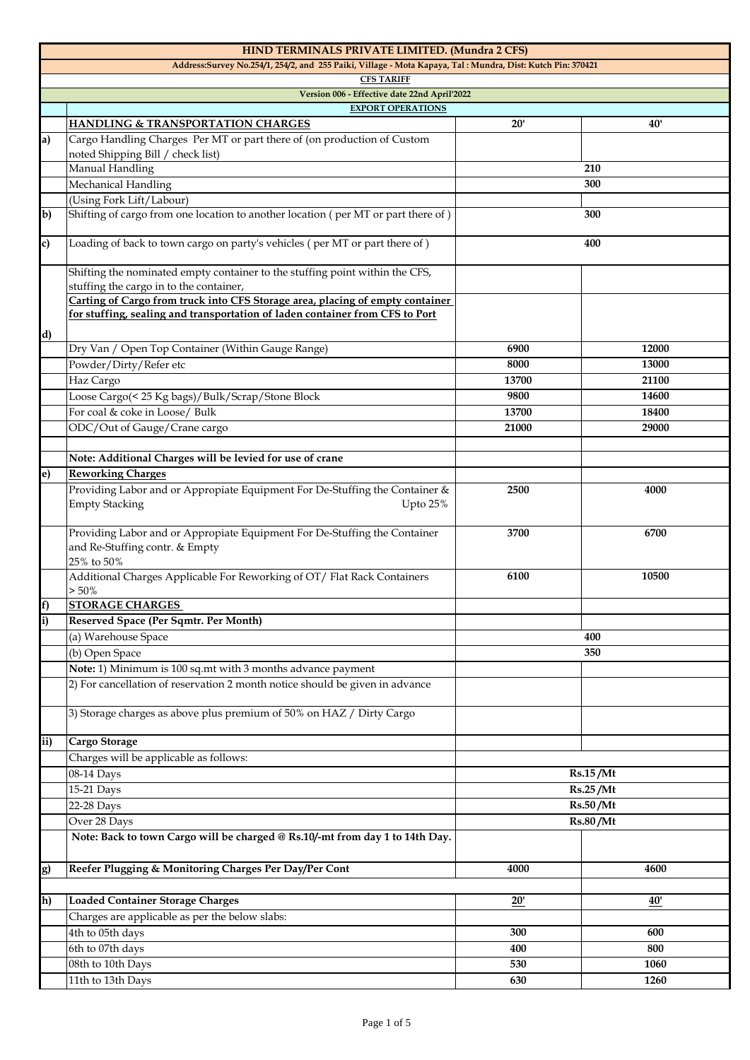|              | HIND TERMINALS PRIVATE LIMITED. (Mundra 2 CFS)                                                                                                                |                                  |          |  |
|--------------|---------------------------------------------------------------------------------------------------------------------------------------------------------------|----------------------------------|----------|--|
|              | Address:Survey No.254/1, 254/2, and 255 Paiki, Village - Mota Kapaya, Tal: Mundra, Dist: Kutch Pin: 370421                                                    |                                  |          |  |
|              | <b>CFS TARIFF</b>                                                                                                                                             |                                  |          |  |
|              | Version 006 - Effective date 22nd April'2022                                                                                                                  |                                  |          |  |
|              | <b>EXPORT OPERATIONS</b>                                                                                                                                      |                                  |          |  |
|              | <b>HANDLING &amp; TRANSPORTATION CHARGES</b>                                                                                                                  | 20'                              | 40'      |  |
| a            | Cargo Handling Charges Per MT or part there of (on production of Custom<br>noted Shipping Bill / check list)                                                  |                                  |          |  |
|              | Manual Handling                                                                                                                                               |                                  | 210      |  |
|              | Mechanical Handling                                                                                                                                           |                                  | 300      |  |
|              | (Using Fork Lift/Labour)                                                                                                                                      |                                  |          |  |
| $\mathbf{b}$ | Shifting of cargo from one location to another location (per MT or part there of)                                                                             |                                  | 300      |  |
| c)           | Loading of back to town cargo on party's vehicles (per MT or part there of)                                                                                   | 400                              |          |  |
|              | Shifting the nominated empty container to the stuffing point within the CFS,<br>stuffing the cargo in to the container,                                       |                                  |          |  |
| d)           | Carting of Cargo from truck into CFS Storage area, placing of empty container<br>for stuffing, sealing and transportation of laden container from CFS to Port |                                  |          |  |
|              | Dry Van / Open Top Container (Within Gauge Range)                                                                                                             | 6900                             | 12000    |  |
|              | Powder/Dirty/Refer etc                                                                                                                                        | 8000                             | 13000    |  |
|              | Haz Cargo                                                                                                                                                     | 13700                            | 21100    |  |
|              |                                                                                                                                                               | 9800                             | 14600    |  |
|              | Loose Cargo(< 25 Kg bags)/Bulk/Scrap/Stone Block                                                                                                              |                                  |          |  |
|              | For coal & coke in Loose/ Bulk                                                                                                                                | 13700                            | 18400    |  |
|              | ODC/Out of Gauge/Crane cargo                                                                                                                                  | 21000                            | 29000    |  |
|              |                                                                                                                                                               |                                  |          |  |
|              | Note: Additional Charges will be levied for use of crane                                                                                                      |                                  |          |  |
| e)           | <b>Reworking Charges</b>                                                                                                                                      |                                  |          |  |
|              | Providing Labor and or Appropiate Equipment For De-Stuffing the Container &<br><b>Empty Stacking</b><br>Upto 25%                                              | 2500                             | 4000     |  |
|              | Providing Labor and or Appropiate Equipment For De-Stuffing the Container<br>and Re-Stuffing contr. & Empty<br>25% to 50%                                     | 3700                             | 6700     |  |
|              | Additional Charges Applicable For Reworking of OT/ Flat Rack Containers<br>$> 50\%$                                                                           | 6100                             | 10500    |  |
| f)           | <b>STORAGE CHARGES</b>                                                                                                                                        |                                  |          |  |
| i)           | Reserved Space (Per Sqmtr. Per Month)                                                                                                                         |                                  |          |  |
|              | (a) Warehouse Space                                                                                                                                           | 400                              |          |  |
|              | (b) Open Space                                                                                                                                                | 350                              |          |  |
|              | Note: 1) Minimum is 100 sq.mt with 3 months advance payment                                                                                                   |                                  |          |  |
|              | 2) For cancellation of reservation 2 month notice should be given in advance                                                                                  |                                  |          |  |
|              | 3) Storage charges as above plus premium of 50% on HAZ / Dirty Cargo                                                                                          |                                  |          |  |
| ii)          | Cargo Storage                                                                                                                                                 |                                  |          |  |
|              | Charges will be applicable as follows:                                                                                                                        |                                  |          |  |
|              | 08-14 Days                                                                                                                                                    | Rs.15/Mt<br>Rs.25/Mt<br>Rs.50/Mt |          |  |
|              | 15-21 Days                                                                                                                                                    |                                  |          |  |
|              | 22-28 Days                                                                                                                                                    |                                  |          |  |
|              | Over 28 Days                                                                                                                                                  |                                  |          |  |
|              | Note: Back to town Cargo will be charged @ Rs.10/-mt from day 1 to 14th Day.                                                                                  |                                  | Rs.80/Mt |  |
|              |                                                                                                                                                               | 4000                             | 4600     |  |
| g)           | Reefer Plugging & Monitoring Charges Per Day/Per Cont                                                                                                         |                                  |          |  |
|              |                                                                                                                                                               |                                  |          |  |
| h)           | <b>Loaded Container Storage Charges</b>                                                                                                                       | 20'                              | 40'      |  |
|              | Charges are applicable as per the below slabs:                                                                                                                |                                  |          |  |
|              | 4th to 05th days                                                                                                                                              | 300                              | 600      |  |
|              | 6th to 07th days                                                                                                                                              | 400                              | 800      |  |
|              | 08th to 10th Days                                                                                                                                             | 530                              | 1060     |  |
|              | 11th to 13th Days                                                                                                                                             | 630                              | 1260     |  |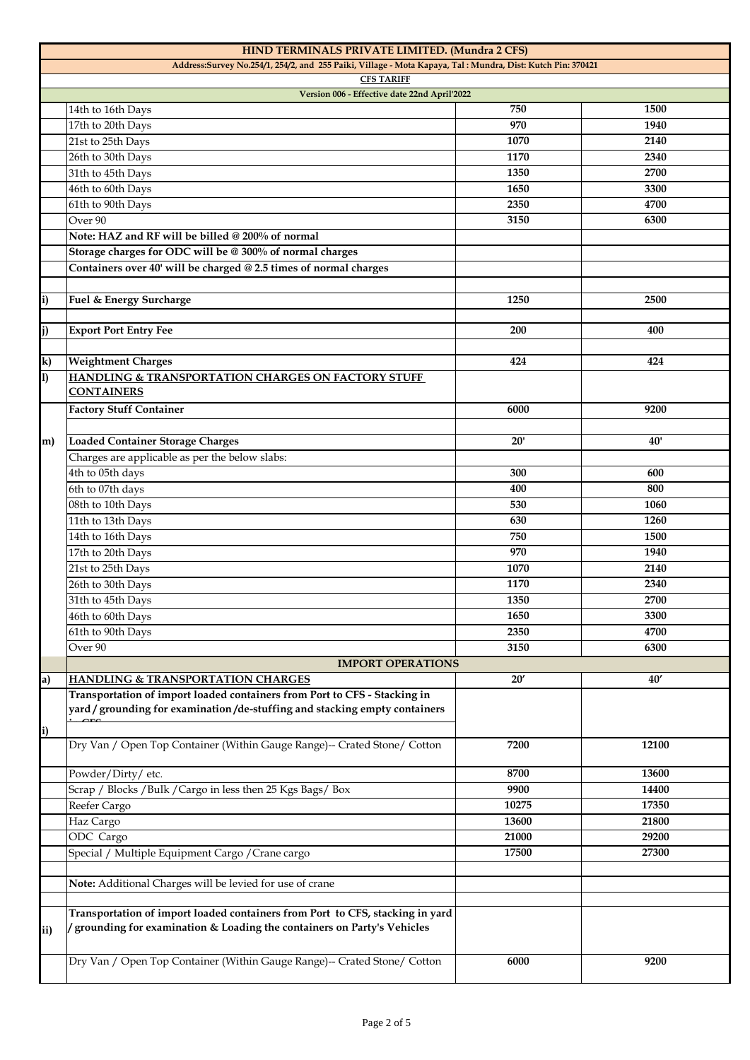|     | HIND TERMINALS PRIVATE LIMITED. (Mundra 2 CFS)                                                                                                           |       |       |
|-----|----------------------------------------------------------------------------------------------------------------------------------------------------------|-------|-------|
|     | Address:Survey No.254/1, 254/2, and 255 Paiki, Village - Mota Kapaya, Tal: Mundra, Dist: Kutch Pin: 370421<br><b>CFS TARIFF</b>                          |       |       |
|     | Version 006 - Effective date 22nd April'2022                                                                                                             |       |       |
|     | 14th to 16th Days                                                                                                                                        | 750   | 1500  |
|     | 17th to 20th Days                                                                                                                                        | 970   | 1940  |
|     | 21st to 25th Days                                                                                                                                        | 1070  | 2140  |
|     | 26th to 30th Days                                                                                                                                        | 1170  | 2340  |
|     | 31th to 45th Days                                                                                                                                        | 1350  | 2700  |
|     | 46th to 60th Days                                                                                                                                        | 1650  | 3300  |
|     | 61th to 90th Days                                                                                                                                        | 2350  | 4700  |
|     | Over <sub>90</sub>                                                                                                                                       | 3150  | 6300  |
|     | Note: HAZ and RF will be billed @ 200% of normal                                                                                                         |       |       |
|     | Storage charges for ODC will be @ 300% of normal charges                                                                                                 |       |       |
|     | Containers over 40' will be charged @ 2.5 times of normal charges                                                                                        |       |       |
|     |                                                                                                                                                          |       |       |
| i)  | Fuel & Energy Surcharge                                                                                                                                  | 1250  | 2500  |
|     |                                                                                                                                                          |       |       |
| j)  | <b>Export Port Entry Fee</b>                                                                                                                             | 200   | 400   |
|     |                                                                                                                                                          |       |       |
| k)  | <b>Weightment Charges</b>                                                                                                                                | 424   | 424   |
| 1)  | HANDLING & TRANSPORTATION CHARGES ON FACTORY STUFF                                                                                                       |       |       |
|     | <b>CONTAINERS</b>                                                                                                                                        |       |       |
|     | <b>Factory Stuff Container</b>                                                                                                                           | 6000  | 9200  |
|     |                                                                                                                                                          |       |       |
| m)  | <b>Loaded Container Storage Charges</b>                                                                                                                  | 20'   | 40'   |
|     | Charges are applicable as per the below slabs:                                                                                                           |       |       |
|     | 4th to 05th days                                                                                                                                         | 300   | 600   |
|     | 6th to 07th days                                                                                                                                         | 400   | 800   |
|     | 08th to 10th Days                                                                                                                                        | 530   | 1060  |
|     | 11th to 13th Days                                                                                                                                        | 630   | 1260  |
|     | 14th to 16th Days                                                                                                                                        | 750   | 1500  |
|     | 17th to 20th Days                                                                                                                                        | 970   | 1940  |
|     | 21st to 25th Days                                                                                                                                        | 1070  | 2140  |
|     | 26th to 30th Days                                                                                                                                        | 1170  | 2340  |
|     | 31th to 45th Days                                                                                                                                        | 1350  | 2700  |
|     | 46th to 60th Days                                                                                                                                        | 1650  | 3300  |
|     | 61th to 90th Days                                                                                                                                        | 2350  | 4700  |
|     | Over 90                                                                                                                                                  | 3150  | 6300  |
|     | <b>IMPORT OPERATIONS</b>                                                                                                                                 |       |       |
| a)  | <b>HANDLING &amp; TRANSPORTATION CHARGES</b>                                                                                                             | 20'   | 40'   |
|     | Transportation of import loaded containers from Port to CFS - Stacking in<br>yard / grounding for examination /de-stuffing and stacking empty containers |       |       |
|     |                                                                                                                                                          |       |       |
| i)  | Dry Van / Open Top Container (Within Gauge Range)-- Crated Stone/ Cotton                                                                                 | 7200  | 12100 |
|     |                                                                                                                                                          |       |       |
|     | Powder/Dirty/etc.                                                                                                                                        | 8700  | 13600 |
|     | Scrap / Blocks / Bulk / Cargo in less then 25 Kgs Bags/ Box                                                                                              | 9900  | 14400 |
|     | Reefer Cargo                                                                                                                                             | 10275 | 17350 |
|     | Haz Cargo                                                                                                                                                | 13600 | 21800 |
|     | ODC Cargo                                                                                                                                                | 21000 | 29200 |
|     | Special / Multiple Equipment Cargo / Crane cargo                                                                                                         | 17500 | 27300 |
|     |                                                                                                                                                          |       |       |
|     | Note: Additional Charges will be levied for use of crane                                                                                                 |       |       |
|     |                                                                                                                                                          |       |       |
| ii) | Transportation of import loaded containers from Port to CFS, stacking in yard<br>grounding for examination & Loading the containers on Party's Vehicles  |       |       |
|     | Dry Van / Open Top Container (Within Gauge Range)-- Crated Stone/ Cotton                                                                                 | 6000  | 9200  |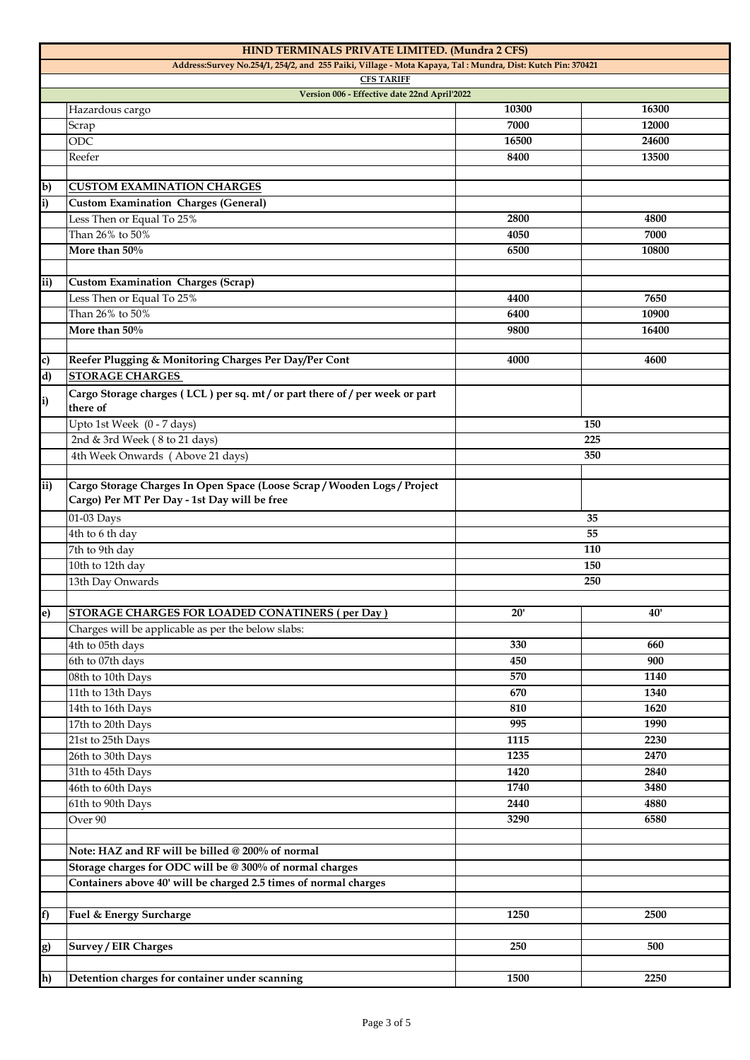|                | HIND TERMINALS PRIVATE LIMITED. (Mundra 2 CFS)                                                                                  |       |       |
|----------------|---------------------------------------------------------------------------------------------------------------------------------|-------|-------|
|                | Address:Survey No.254/1, 254/2, and 255 Paiki, Village - Mota Kapaya, Tal: Mundra, Dist: Kutch Pin: 370421<br><b>CFS TARIFF</b> |       |       |
|                | Version 006 - Effective date 22nd April'2022                                                                                    |       |       |
|                | Hazardous cargo                                                                                                                 | 10300 | 16300 |
|                | Scrap                                                                                                                           | 7000  | 12000 |
|                | ODC                                                                                                                             | 16500 | 24600 |
|                | Reefer                                                                                                                          | 8400  | 13500 |
|                |                                                                                                                                 |       |       |
| b)             | <b>CUSTOM EXAMINATION CHARGES</b>                                                                                               |       |       |
| i)             | <b>Custom Examination Charges (General)</b>                                                                                     |       |       |
|                | Less Then or Equal To 25%                                                                                                       | 2800  | 4800  |
|                | Than 26% to 50%                                                                                                                 | 4050  | 7000  |
|                | More than 50%                                                                                                                   | 6500  | 10800 |
|                |                                                                                                                                 |       |       |
| ii)            | <b>Custom Examination Charges (Scrap)</b>                                                                                       |       |       |
|                | Less Then or Equal To 25%                                                                                                       | 4400  | 7650  |
|                | Than 26% to 50%                                                                                                                 | 6400  | 10900 |
|                | More than 50%                                                                                                                   | 9800  | 16400 |
|                |                                                                                                                                 |       |       |
| c)             | Reefer Plugging & Monitoring Charges Per Day/Per Cont                                                                           | 4000  | 4600  |
| $\overline{d}$ | <b>STORAGE CHARGES</b>                                                                                                          |       |       |
| i)             | Cargo Storage charges (LCL) per sq. mt/or part there of/per week or part                                                        |       |       |
|                | there of                                                                                                                        |       |       |
|                | Upto 1st Week (0 - 7 days)                                                                                                      | 150   |       |
|                | 2nd & 3rd Week (8 to 21 days)                                                                                                   |       | 225   |
|                | 4th Week Onwards (Above 21 days)                                                                                                |       | 350   |
|                |                                                                                                                                 |       |       |
| ii)            | Cargo Storage Charges In Open Space (Loose Scrap / Wooden Logs / Project<br>Cargo) Per MT Per Day - 1st Day will be free        |       |       |
|                | 01-03 Days                                                                                                                      |       | 35    |
|                | 4th to 6 th day                                                                                                                 | 55    |       |
|                | 7th to 9th day                                                                                                                  | 110   |       |
|                | 10th to 12th day                                                                                                                | 150   |       |
|                | 13th Day Onwards                                                                                                                | 250   |       |
|                |                                                                                                                                 |       |       |
| e)             | <b>STORAGE CHARGES FOR LOADED CONATINERS (per Day)</b>                                                                          | 20'   | 40'   |
|                | Charges will be applicable as per the below slabs:                                                                              |       |       |
|                | 4th to 05th days                                                                                                                | 330   | 660   |
|                | 6th to 07th days                                                                                                                | 450   | 900   |
|                | 08th to 10th Days                                                                                                               | 570   | 1140  |
|                | 11th to 13th Days                                                                                                               | 670   | 1340  |
|                | 14th to 16th Days                                                                                                               | 810   | 1620  |
|                | 17th to 20th Days                                                                                                               | 995   | 1990  |
|                | 21st to 25th Days                                                                                                               | 1115  | 2230  |
|                | 26th to 30th Days                                                                                                               | 1235  | 2470  |
|                | 31th to 45th Days                                                                                                               | 1420  | 2840  |
|                | 46th to 60th Days                                                                                                               | 1740  | 3480  |
|                | 61th to 90th Days                                                                                                               | 2440  | 4880  |
|                | Over 90                                                                                                                         | 3290  | 6580  |
|                |                                                                                                                                 |       |       |
|                | Note: HAZ and RF will be billed @ 200% of normal                                                                                |       |       |
|                | Storage charges for ODC will be @ 300% of normal charges                                                                        |       |       |
|                | Containers above 40' will be charged 2.5 times of normal charges                                                                |       |       |
|                |                                                                                                                                 |       |       |
| f)             | Fuel & Energy Surcharge                                                                                                         | 1250  | 2500  |
|                |                                                                                                                                 | 250   | 500   |
| g)             | <b>Survey / EIR Charges</b>                                                                                                     |       |       |
|                |                                                                                                                                 |       |       |
| h)             | Detention charges for container under scanning                                                                                  | 1500  | 2250  |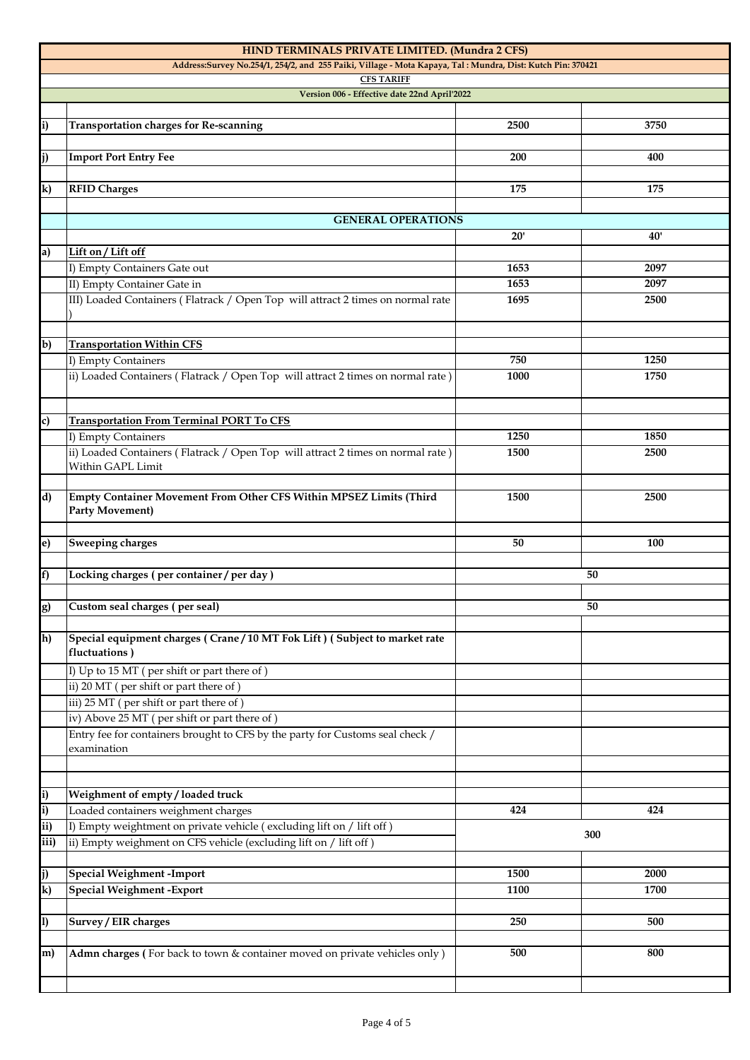|                         | HIND TERMINALS PRIVATE LIMITED. (Mundra 2 CFS)                                                             |              |              |
|-------------------------|------------------------------------------------------------------------------------------------------------|--------------|--------------|
|                         | Address:Survey No.254/1, 254/2, and 255 Paiki, Village - Mota Kapaya, Tal: Mundra, Dist: Kutch Pin: 370421 |              |              |
|                         | <b>CFS TARIFF</b>                                                                                          |              |              |
|                         | Version 006 - Effective date 22nd April'2022                                                               |              |              |
|                         |                                                                                                            |              |              |
| i)                      | <b>Transportation charges for Re-scanning</b>                                                              | 2500         | 3750         |
|                         |                                                                                                            |              |              |
| j)                      | <b>Import Port Entry Fee</b>                                                                               | 200          | 400          |
|                         |                                                                                                            |              |              |
| k)                      | <b>RFID Charges</b>                                                                                        | 175          | 175          |
|                         |                                                                                                            |              |              |
|                         | <b>GENERAL OPERATIONS</b>                                                                                  |              |              |
|                         |                                                                                                            | 20'          | 40'          |
| a)                      | Lift on / Lift off                                                                                         | 1653         | 2097         |
|                         | I) Empty Containers Gate out<br>II) Empty Container Gate in                                                | 1653         |              |
|                         |                                                                                                            |              | 2097         |
|                         | III) Loaded Containers (Flatrack / Open Top will attract 2 times on normal rate                            | 1695         | 2500         |
|                         |                                                                                                            |              |              |
| $b$                     | <b>Transportation Within CFS</b>                                                                           |              |              |
|                         | I) Empty Containers                                                                                        | 750          | 1250         |
|                         | ii) Loaded Containers (Flatrack / Open Top will attract 2 times on normal rate)                            | 1000         | 1750         |
|                         |                                                                                                            |              |              |
|                         |                                                                                                            |              |              |
| c)                      | <b>Transportation From Terminal PORT To CFS</b>                                                            |              |              |
|                         | I) Empty Containers                                                                                        | 1250         | 1850         |
|                         | ii) Loaded Containers (Flatrack / Open Top will attract 2 times on normal rate)                            | 1500         | 2500         |
|                         | Within GAPL Limit                                                                                          |              |              |
|                         |                                                                                                            |              |              |
| d)                      | Empty Container Movement From Other CFS Within MPSEZ Limits (Third                                         | 1500         | 2500         |
|                         | <b>Party Movement)</b>                                                                                     |              |              |
|                         |                                                                                                            |              |              |
| e)                      | Sweeping charges                                                                                           | 50           | 100          |
|                         |                                                                                                            |              |              |
| f)                      | Locking charges (per container / per day)                                                                  | 50           |              |
|                         |                                                                                                            |              |              |
| g)                      | Custom seal charges (per seal)                                                                             |              | 50           |
|                         |                                                                                                            |              |              |
| h)                      | Special equipment charges (Crane/10 MT Fok Lift) (Subject to market rate<br>fluctuations)                  |              |              |
|                         |                                                                                                            |              |              |
|                         | I) Up to 15 MT (per shift or part there of)<br>ii) 20 MT (per shift or part there of)                      |              |              |
|                         |                                                                                                            |              |              |
|                         | iii) 25 MT (per shift or part there of)<br>iv) Above 25 MT (per shift or part there of)                    |              |              |
|                         | Entry fee for containers brought to CFS by the party for Customs seal check /                              |              |              |
|                         | examination                                                                                                |              |              |
|                         |                                                                                                            |              |              |
|                         |                                                                                                            |              |              |
| i)                      | Weighment of empty / loaded truck                                                                          |              |              |
| i)                      | Loaded containers weighment charges                                                                        | 424          | 424          |
| ii)                     | I) Empty weightment on private vehicle (excluding lift on / lift off)                                      |              |              |
| iii)                    | ii) Empty weighment on CFS vehicle (excluding lift on / lift off)                                          | 300          |              |
|                         |                                                                                                            |              |              |
|                         |                                                                                                            |              |              |
|                         |                                                                                                            |              |              |
| j)                      | <b>Special Weighment -Import</b>                                                                           | 1500<br>1100 | 2000<br>1700 |
| $\overline{\mathbf{k}}$ | <b>Special Weighment - Export</b>                                                                          |              |              |
|                         |                                                                                                            |              |              |
| $\ket{1}$               | Survey / EIR charges                                                                                       | 250          | 500          |
| m)                      |                                                                                                            | 500          | 800          |
|                         | Admn charges (For back to town & container moved on private vehicles only)                                 |              |              |